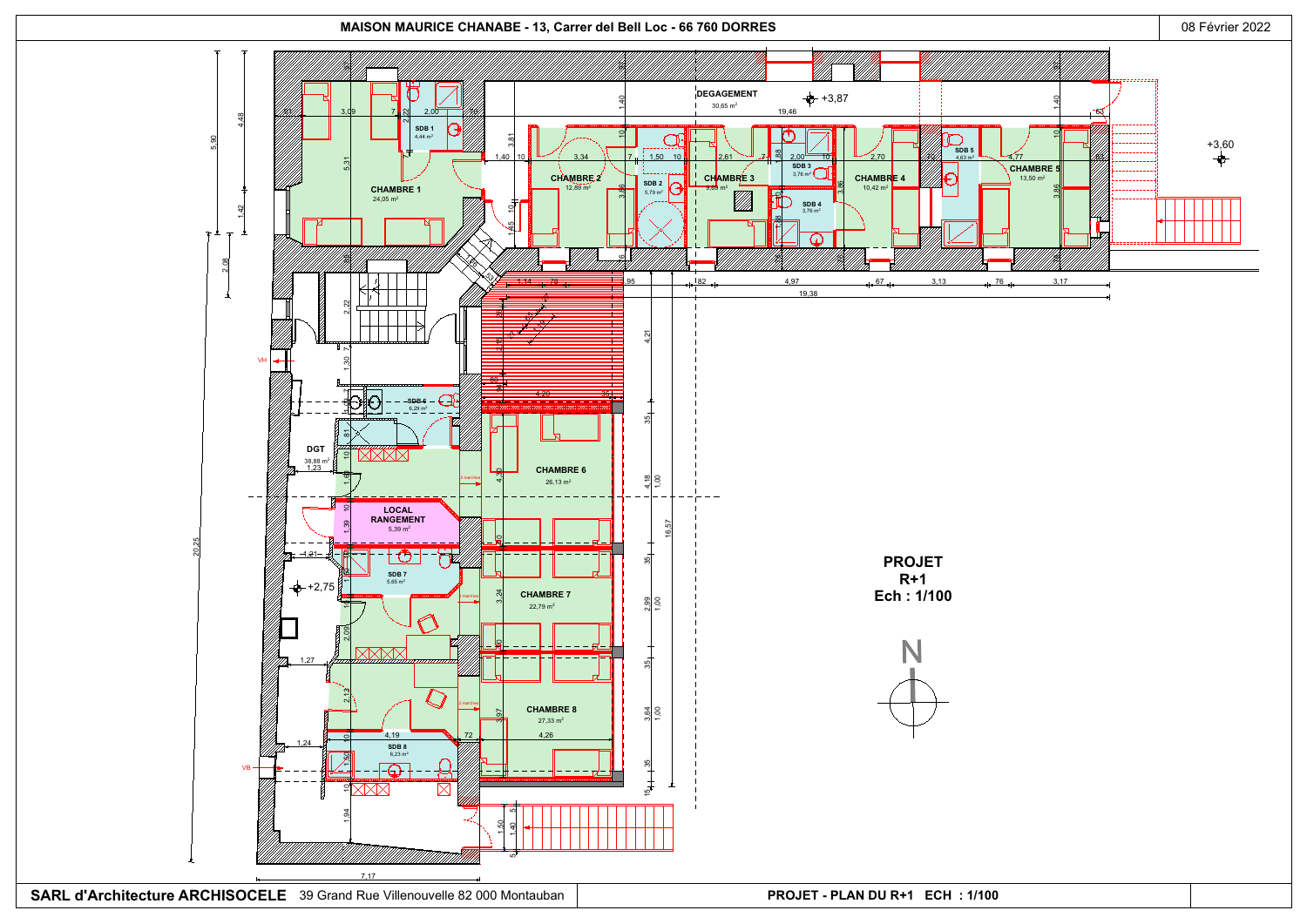GSPublisherVersion 0.0.100.100



SARL d'Architecture ARCHISOCELE 39 Grand Rue Villenouvelle 82 000 Montauban **PROJET - PLAN DU R+1 ECH : 1/100**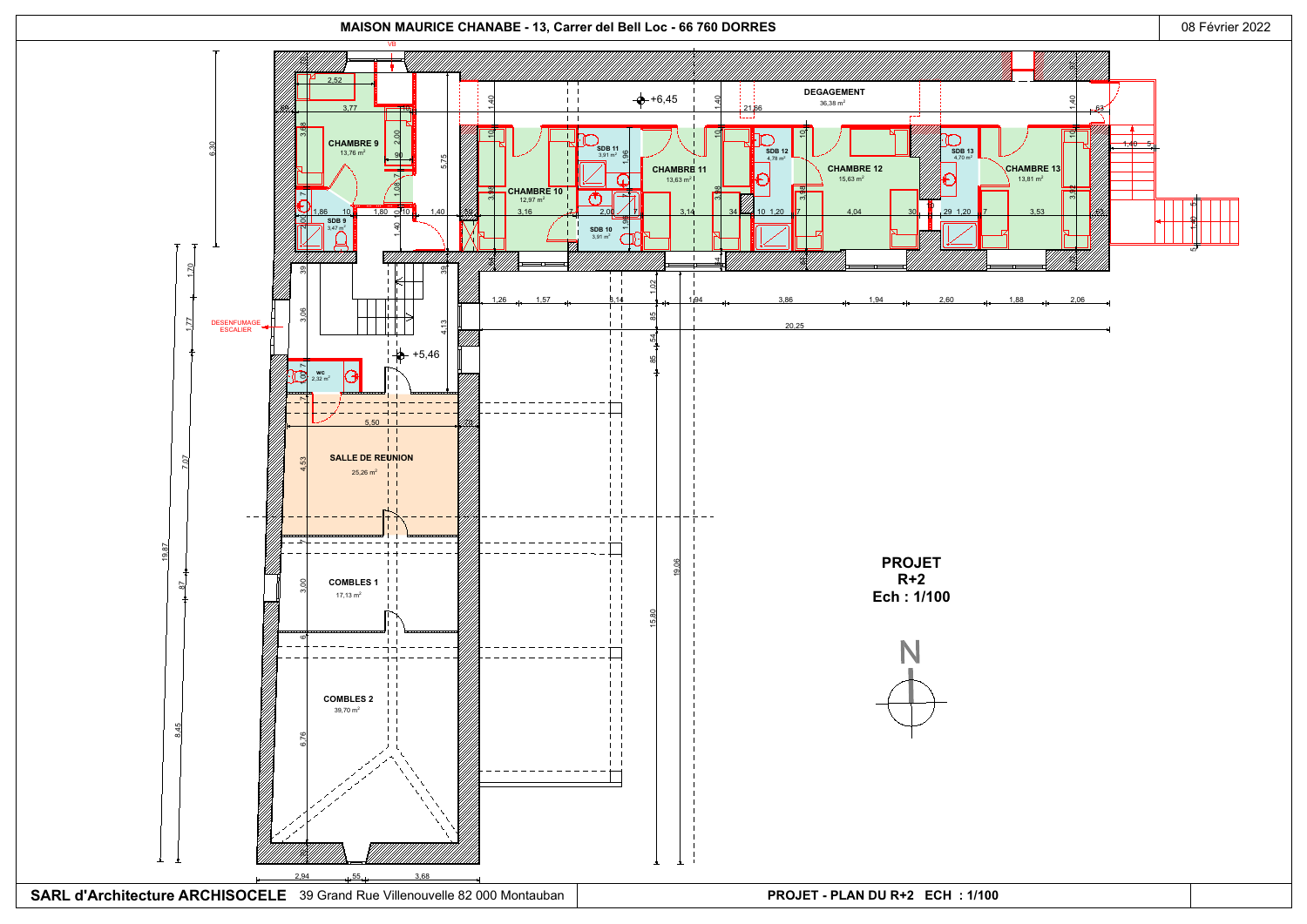GSPublisherVersion 0.0.100.100